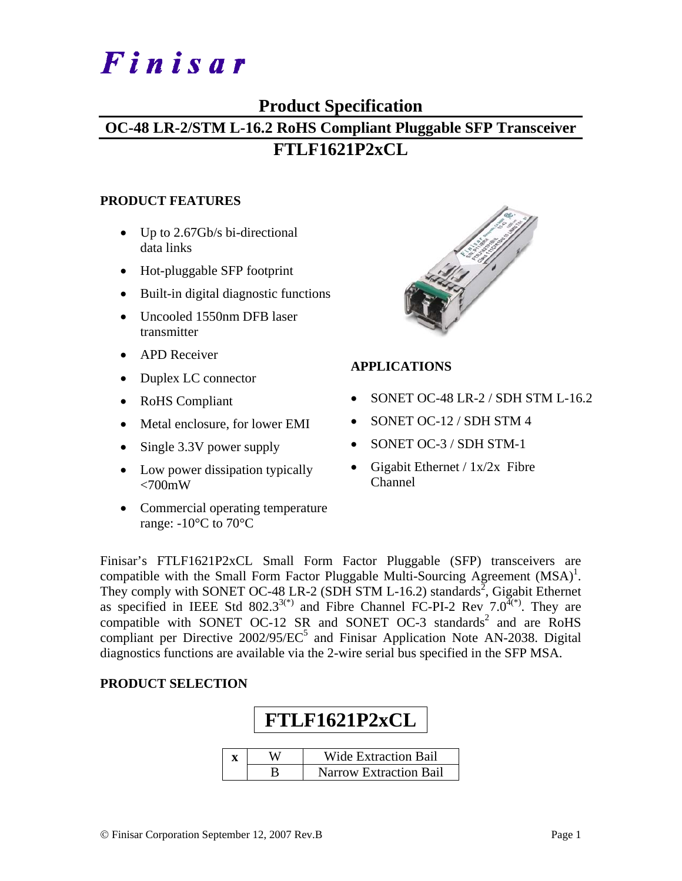# Finisar

### **Product Specification**

## **OC-48 LR-2/STM L-16.2 RoHS Compliant Pluggable SFP Transceiver FTLF1621P2xCL**

#### **PRODUCT FEATURES**

- Up to 2.67Gb/s bi-directional data links
- Hot-pluggable SFP footprint
- Built-in digital diagnostic functions
- Uncooled 1550nm DFB laser transmitter
- APD Receiver
- Duplex LC connector
- RoHS Compliant
- Metal enclosure, for lower EMI
- Single 3.3V power supply
- Low power dissipation typically  $<700$ mW
- Commercial operating temperature range:  $-10^{\circ}$ C to 70 $^{\circ}$ C



#### **APPLICATIONS**

- SONET OC-48 LR-2 / SDH STM L-16.2
- SONET OC-12 / SDH STM 4
- SONET OC-3 / SDH STM-1
- Gigabit Ethernet /  $1x/2x$  Fibre Channel

Finisar's FTLF1621P2xCL Small Form Factor Pluggable (SFP) transceivers are compatible with the Small Form Factor Pluggable Multi-Sourcing Agreement  $(MSA)^{1}$ . They comply with SONET OC-48 LR-2 (SDH STM L-16.2) standards<sup>2</sup>, Gigabit Ethernet as specified in IEEE Std 802.3<sup>3(\*)</sup> and Fibre Channel FC-PI-2 Rev  $7.0^{4(*)}$ . They are compatible with SONET OC-12 SR and SONET OC-3 standards<sup>2</sup> and are RoHS compliant per Directive  $2002/95/EC^5$  and Finisar Application Note AN-2038. Digital diagnostics functions are available via the 2-wire serial bus specified in the SFP MSA.

#### **PRODUCT SELECTION**

| FTLF1621P2xCL |                               |  |  |  |  |  |
|---------------|-------------------------------|--|--|--|--|--|
|               | <b>Wide Extraction Bail</b>   |  |  |  |  |  |
|               | <b>Narrow Extraction Bail</b> |  |  |  |  |  |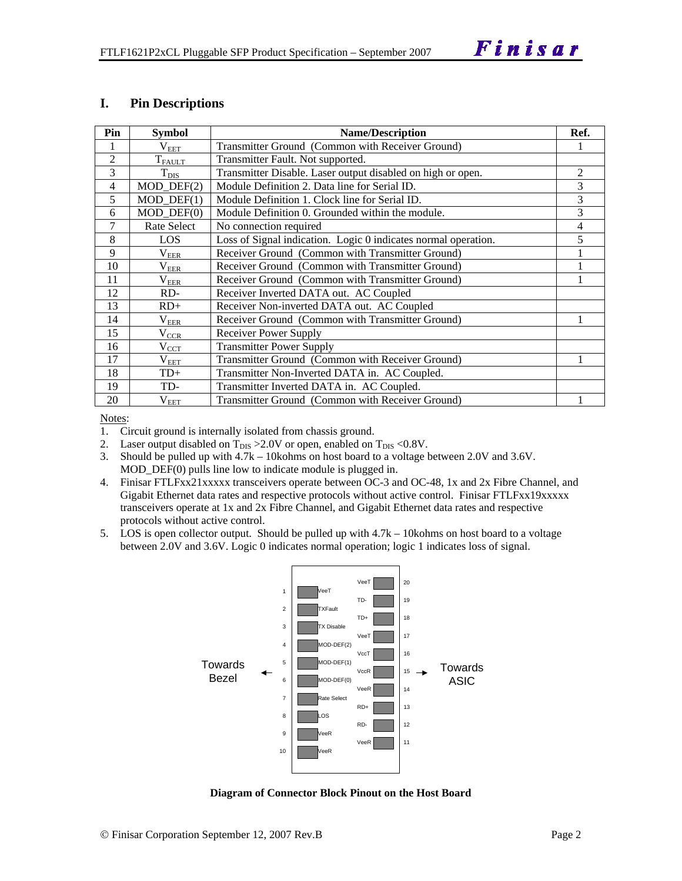#### **I. Pin Descriptions**

| Pin            | <b>Symbol</b>    | <b>Name/Description</b>                                        | Ref. |
|----------------|------------------|----------------------------------------------------------------|------|
| 1              | $\rm V_{EET}$    | Transmitter Ground (Common with Receiver Ground)               |      |
| $\overline{2}$ | $T_{FAULT}$      | Transmitter Fault. Not supported.                              |      |
| 3              | $T_{\text{DIS}}$ | Transmitter Disable. Laser output disabled on high or open.    | 2    |
| 4              | $MOD_$ DEF $(2)$ | Module Definition 2. Data line for Serial ID.                  | 3    |
| 5              | $MOD$ $DEF(1)$   | Module Definition 1. Clock line for Serial ID.                 | 3    |
| 6              | $MOD$ $DEF(0)$   | Module Definition 0. Grounded within the module.               | 3    |
| 7              | Rate Select      | No connection required                                         | 4    |
| 8              | LOS              | Loss of Signal indication. Logic 0 indicates normal operation. | 5    |
| 9              | $\rm V_{EER}$    | Receiver Ground (Common with Transmitter Ground)               |      |
| 10             | $\rm V_{EER}$    | Receiver Ground (Common with Transmitter Ground)               |      |
| 11             | $\rm V_{EER}$    | Receiver Ground (Common with Transmitter Ground)               |      |
| 12             | RD-              | Receiver Inverted DATA out. AC Coupled                         |      |
| 13             | $RD+$            | Receiver Non-inverted DATA out. AC Coupled                     |      |
| 14             | $\rm V_{EER}$    | Receiver Ground (Common with Transmitter Ground)               |      |
| 15             | $V_{CCR}$        | Receiver Power Supply                                          |      |
| 16             | $V_{\rm CCT}$    | <b>Transmitter Power Supply</b>                                |      |
| 17             | $V_{EET}$        | Transmitter Ground (Common with Receiver Ground)               |      |
| 18             | $TD+$            | Transmitter Non-Inverted DATA in. AC Coupled.                  |      |
| 19             | TD-              | Transmitter Inverted DATA in. AC Coupled.                      |      |
| 20             | $\rm V_{EET}$    | Transmitter Ground (Common with Receiver Ground)               |      |

Notes:

1. Circuit ground is internally isolated from chassis ground.

2. Laser output disabled on  $T_{DIS} > 2.0V$  or open, enabled on  $T_{DIS} < 0.8V$ .

3. Should be pulled up with 4.7k – 10kohms on host board to a voltage between 2.0V and 3.6V. MOD\_DEF(0) pulls line low to indicate module is plugged in.

4. Finisar FTLFxx21xxxxx transceivers operate between OC-3 and OC-48, 1x and 2x Fibre Channel, and Gigabit Ethernet data rates and respective protocols without active control. Finisar FTLFxx19xxxxx transceivers operate at 1x and 2x Fibre Channel, and Gigabit Ethernet data rates and respective protocols without active control.

5. LOS is open collector output. Should be pulled up with 4.7k – 10kohms on host board to a voltage between 2.0V and 3.6V. Logic 0 indicates normal operation; logic 1 indicates loss of signal.



**Diagram of Connector Block Pinout on the Host Board**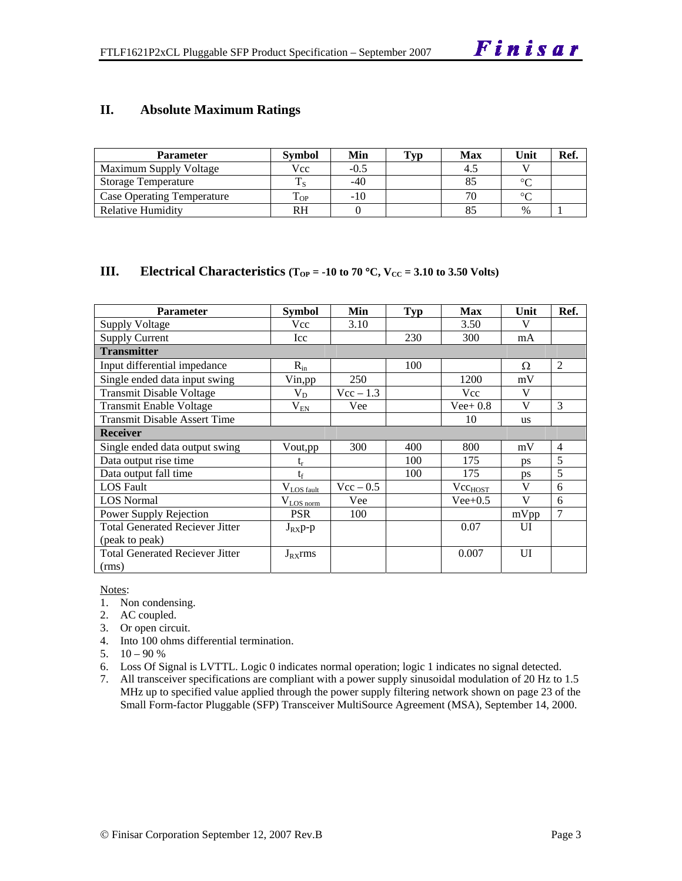#### **II. Absolute Maximum Ratings**

| <b>Parameter</b>                  | <b>Symbol</b> | Min    | Typ | <b>Max</b> | Unit   | Ref. |
|-----------------------------------|---------------|--------|-----|------------|--------|------|
| <b>Maximum Supply Voltage</b>     | Vcc           | $-0.5$ |     | 4.         |        |      |
| <b>Storage Temperature</b>        |               | $-40$  |     |            | $\sim$ |      |
| <b>Case Operating Temperature</b> | OP-           | $-10$  |     |            | $\sim$ |      |
| Relative Humidity                 | RH            |        |     |            | $\%$   |      |

#### **III.** Electrical Characteristics ( $T_{OP} = -10$  to 70 °C,  $V_{CC} = 3.10$  to 3.50 Volts)

| <b>Parameter</b>                       | Symbol          | Min                | <b>Typ</b> | <b>Max</b>          | Unit         | Ref.           |
|----------------------------------------|-----------------|--------------------|------------|---------------------|--------------|----------------|
| <b>Supply Voltage</b>                  | Vcc             | 3.10               |            | 3.50                | V            |                |
| <b>Supply Current</b>                  | Icc             |                    | 230        | 300                 | mA           |                |
| <b>Transmitter</b>                     |                 |                    |            |                     |              |                |
| Input differential impedance           | $R_{in}$        |                    | 100        |                     | Ω            | $\overline{2}$ |
| Single ended data input swing          | Vin, pp         | 250                |            | 1200                | mV           |                |
| <b>Transmit Disable Voltage</b>        | $V_D$           | $Vec - 1.3$        |            | Vcc                 | $\mathbf{V}$ |                |
| Transmit Enable Voltage                | $\rm V_{EN}$    | Vee                |            | $Vee+0.8$           | $\mathbf{V}$ | $\mathcal{F}$  |
| <b>Transmit Disable Assert Time</b>    |                 |                    |            | 10                  | <b>us</b>    |                |
| <b>Receiver</b>                        |                 |                    |            |                     |              |                |
| Single ended data output swing         | Vout,pp         | 300                | 400        | 800                 | mV           | $\overline{4}$ |
| Data output rise time                  | $t_{r}$         |                    | 100        | 175                 | ps           | 5              |
| Data output fall time                  | $t_f$           |                    | 100        | 175                 | <b>ps</b>    | 5              |
| <b>LOS</b> Fault                       | $V_{LOS fault}$ | $\text{Vcc} - 0.5$ |            | Vcc <sub>HOST</sub> | V            | 6              |
| <b>LOS</b> Normal                      | $V_{LQS norm}$  | Vee                |            | $Vee+0.5$           | $\mathbf{V}$ | 6              |
| Power Supply Rejection                 | <b>PSR</b>      | 100                |            |                     | mVpp         | $\overline{7}$ |
| <b>Total Generated Reciever Jitter</b> | $J_{RX}p-p$     |                    |            | 0.07                | UI           |                |
| (peak to peak)                         |                 |                    |            |                     |              |                |
| <b>Total Generated Reciever Jitter</b> | $J_{RX}$ rms    |                    |            | 0.007               | UI           |                |
| (rms)                                  |                 |                    |            |                     |              |                |

Notes:

- 1. Non condensing.
- 2. AC coupled.
- 3. Or open circuit.
- 4. Into 100 ohms differential termination.
- 5.  $10 90 %$
- 6. Loss Of Signal is LVTTL. Logic 0 indicates normal operation; logic 1 indicates no signal detected.
- 7. All transceiver specifications are compliant with a power supply sinusoidal modulation of 20 Hz to 1.5 MHz up to specified value applied through the power supply filtering network shown on page 23 of the Small Form-factor Pluggable (SFP) Transceiver MultiSource Agreement (MSA), September 14, 2000.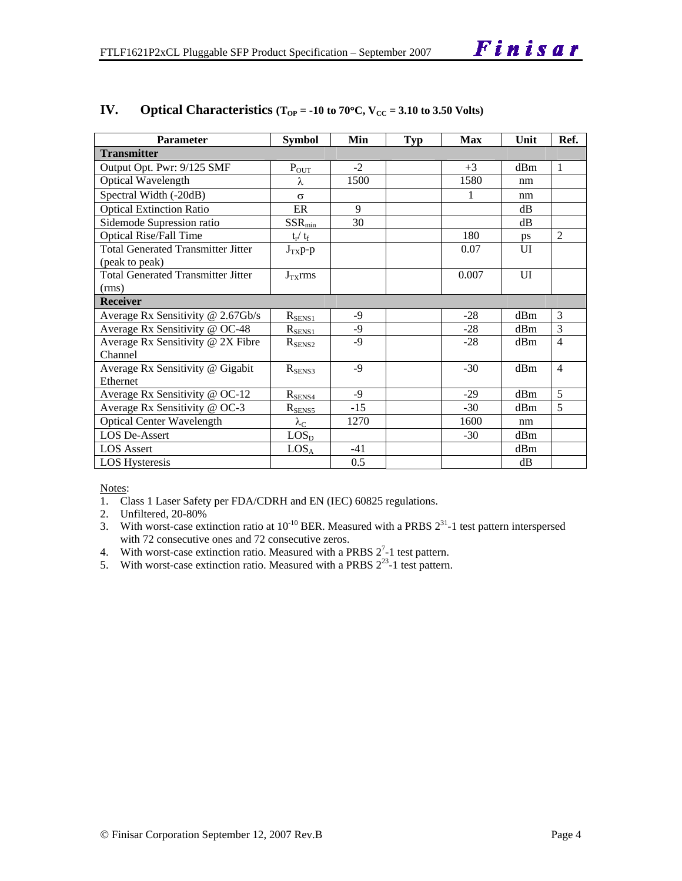| <b>Parameter</b>                          | <b>Symbol</b>     | Min   | <b>Typ</b> | <b>Max</b> | Unit | Ref.           |
|-------------------------------------------|-------------------|-------|------------|------------|------|----------------|
| <b>Transmitter</b>                        |                   |       |            |            |      |                |
| Output Opt. Pwr: 9/125 SMF                | $P_{OUT}$         | $-2$  |            | $+3$       | dBm  | $\mathbf{1}$   |
| <b>Optical Wavelength</b>                 | λ                 | 1500  |            | 1580       | nm   |                |
| Spectral Width (-20dB)                    | $\sigma$          |       |            | 1          | nm   |                |
| <b>Optical Extinction Ratio</b>           | ER                | 9     |            |            | dB   |                |
| Sidemode Supression ratio                 | $SSR_{min}$       | 30    |            |            | dB   |                |
| <b>Optical Rise/Fall Time</b>             | $t_r / t_f$       |       |            | 180        | ps   | $\overline{2}$ |
| <b>Total Generated Transmitter Jitter</b> | $J_{TX}p-p$       |       |            | 0.07       | UI   |                |
| (peak to peak)                            |                   |       |            |            |      |                |
| <b>Total Generated Transmitter Jitter</b> | $J_{TX}$ rms      |       |            | 0.007      | UI   |                |
| (rms)                                     |                   |       |            |            |      |                |
| <b>Receiver</b>                           |                   |       |            |            |      |                |
| Average Rx Sensitivity @ 2.67Gb/s         | $R_{\rm SENS1}$   | -9    |            | $-28$      | dBm  | 3              |
| Average Rx Sensitivity @ OC-48            | $R_{\rm SENS1}$   | $-9$  |            | $-28$      | dBm  | 3              |
| Average Rx Sensitivity @ 2X Fibre         | $R_{\rm SENS2}$   | $-9$  |            | $-28$      | dBm  | 4              |
| Channel                                   |                   |       |            |            |      |                |
| Average Rx Sensitivity @ Gigabit          | $R_{SENS3}$       | $-9$  |            | $-30$      | dBm  | $\overline{4}$ |
| Ethernet                                  |                   |       |            |            |      |                |
| Average Rx Sensitivity @ OC-12            | $R_{SENS4}$       | $-9$  |            | $-29$      | dBm  | 5              |
| Average Rx Sensitivity @ OC-3             | $R_{SENS5}$       | $-15$ |            | $-30$      | dBm  | 5              |
| <b>Optical Center Wavelength</b>          | $\lambda_{\rm C}$ | 1270  |            | 1600       | nm   |                |
| LOS De-Assert                             | LOS <sub>D</sub>  |       |            | $-30$      | dBm  |                |
| <b>LOS</b> Assert                         | LOS <sub>A</sub>  | $-41$ |            |            | dBm  |                |
| <b>LOS Hysteresis</b>                     |                   | 0.5   |            |            | dB   |                |

#### **IV.** Optical Characteristics ( $T_{OP}$  = -10 to 70°C,  $V_{CC}$  = 3.10 to 3.50 Volts)

Notes:

- 1. Class 1 Laser Safety per FDA/CDRH and EN (IEC) 60825 regulations.
- 2. Unfiltered, 20-80%
- 3. With worst-case extinction ratio at  $10^{-10}$  BER. Measured with a PRBS  $2^{31}$ -1 test pattern interspersed with 72 consecutive ones and 72 consecutive zeros.
- 4. With worst-case extinction ratio. Measured with a PRBS  $2^7$ -1 test pattern.
- 5. With worst-case extinction ratio. Measured with a PRBS  $2^{23}$ -1 test pattern.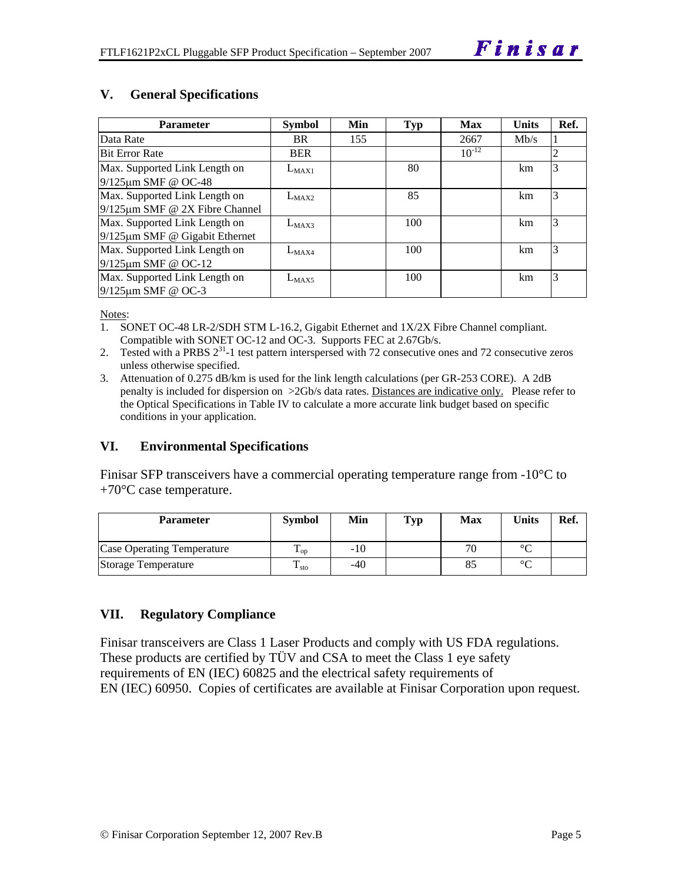#### **V. General Specifications**

| <b>Parameter</b>                     | <b>Symbol</b> | Min | <b>Typ</b> | <b>Max</b> | <b>Units</b> | Ref. |
|--------------------------------------|---------------|-----|------------|------------|--------------|------|
| Data Rate                            | <b>BR</b>     | 155 |            | 2667       | Mb/s         |      |
| <b>Bit Error Rate</b>                | <b>BER</b>    |     |            | $10^{-12}$ |              | 2    |
| Max. Supported Link Length on        | $L_{MAX1}$    |     | 80         |            | km           | 3    |
| 9/125µm SMF @ OC-48                  |               |     |            |            |              |      |
| Max. Supported Link Length on        | $L_{MAX2}$    |     | 85         |            | km           | 3    |
| $9/125 \mu m$ SMF @ 2X Fibre Channel |               |     |            |            |              |      |
| Max. Supported Link Length on        | $L_{MAX3}$    |     | 100        |            | km           | 3    |
| $9/125 \mu m$ SMF @ Gigabit Ethernet |               |     |            |            |              |      |
| Max. Supported Link Length on        | $L_{MAX4}$    |     | 100        |            | km           | 3    |
| 9/125µm SMF @ OC-12                  |               |     |            |            |              |      |
| Max. Supported Link Length on        | $L_{MAX5}$    |     | 100        |            | km           | 3    |
| $9/125 \mu m$ SMF @ OC-3             |               |     |            |            |              |      |

Notes:

- 1. SONET OC-48 LR-2/SDH STM L-16.2, Gigabit Ethernet and 1X/2X Fibre Channel compliant. Compatible with SONET OC-12 and OC-3. Supports FEC at 2.67Gb/s.
- 2. Tested with a PRBS 2<sup>31</sup>-1 test pattern interspersed with 72 consecutive ones and 72 consecutive zeros unless otherwise specified.
- 3. Attenuation of 0.275 dB/km is used for the link length calculations (per GR-253 CORE). A 2dB penalty is included for dispersion on >2Gb/s data rates. Distances are indicative only. Please refer to the Optical Specifications in Table IV to calculate a more accurate link budget based on specific conditions in your application.

#### **VI. Environmental Specifications**

Finisar SFP transceivers have a commercial operating temperature range from  $-10^{\circ}$ C to  $+70^{\circ}$ C case temperature.

| <b>Parameter</b>                  | <b>Symbol</b>     | Min   | <b>Typ</b> | <b>Max</b> | <b>Units</b> | Ref. |
|-----------------------------------|-------------------|-------|------------|------------|--------------|------|
| <b>Case Operating Temperature</b> | $\mathbf{L}_{OD}$ | $-10$ |            | 70         | $\circ$      |      |
| Storage Temperature               | ᡣ<br>$\pm$ sto    | $-40$ |            |            | $\sim$       |      |

#### **VII. Regulatory Compliance**

Finisar transceivers are Class 1 Laser Products and comply with US FDA regulations. These products are certified by TÜV and CSA to meet the Class 1 eye safety requirements of EN (IEC) 60825 and the electrical safety requirements of EN (IEC) 60950. Copies of certificates are available at Finisar Corporation upon request.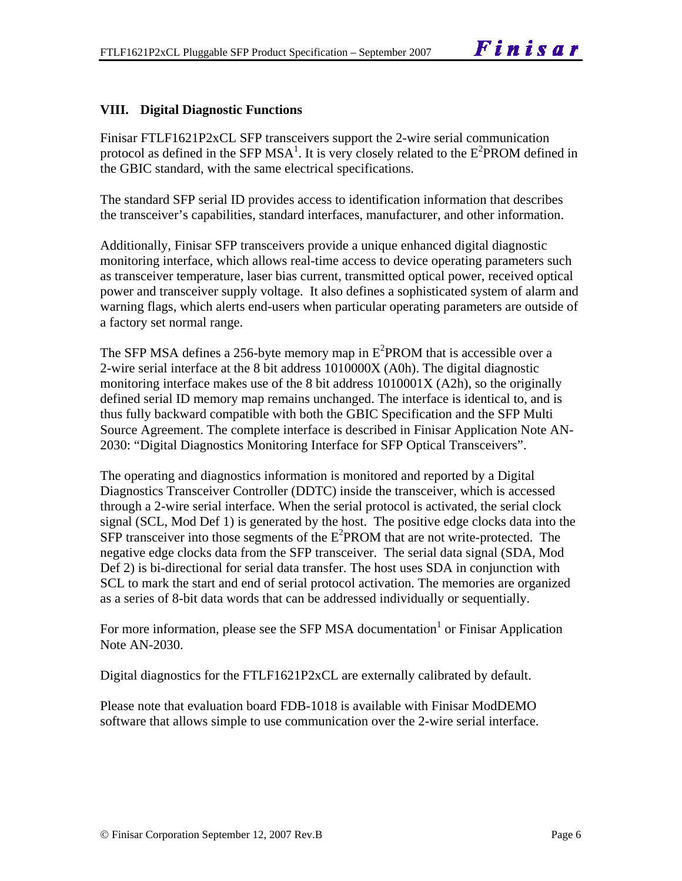#### **VIII. Digital Diagnostic Functions**

Finisar FTLF1621P2xCL SFP transceivers support the 2-wire serial communication protocol as defined in the SFP MSA<sup>1</sup>. It is very closely related to the  $E^2$ PROM defined in the GBIC standard, with the same electrical specifications.

The standard SFP serial ID provides access to identification information that describes the transceiver's capabilities, standard interfaces, manufacturer, and other information.

Additionally, Finisar SFP transceivers provide a unique enhanced digital diagnostic monitoring interface, which allows real-time access to device operating parameters such as transceiver temperature, laser bias current, transmitted optical power, received optical power and transceiver supply voltage. It also defines a sophisticated system of alarm and warning flags, which alerts end-users when particular operating parameters are outside of a factory set normal range.

The SFP MSA defines a 256-byte memory map in  $E^2$ PROM that is accessible over a 2-wire serial interface at the 8 bit address 1010000X (A0h). The digital diagnostic monitoring interface makes use of the 8 bit address 1010001X (A2h), so the originally defined serial ID memory map remains unchanged. The interface is identical to, and is thus fully backward compatible with both the GBIC Specification and the SFP Multi Source Agreement. The complete interface is described in Finisar Application Note AN-2030: "Digital Diagnostics Monitoring Interface for SFP Optical Transceivers".

The operating and diagnostics information is monitored and reported by a Digital Diagnostics Transceiver Controller (DDTC) inside the transceiver, which is accessed through a 2-wire serial interface. When the serial protocol is activated, the serial clock signal (SCL, Mod Def 1) is generated by the host. The positive edge clocks data into the  $SFP$  transceiver into those segments of the  $E^2$ PROM that are not write-protected. The negative edge clocks data from the SFP transceiver. The serial data signal (SDA, Mod Def 2) is bi-directional for serial data transfer. The host uses SDA in conjunction with SCL to mark the start and end of serial protocol activation. The memories are organized as a series of 8-bit data words that can be addressed individually or sequentially.

For more information, please see the SFP MSA documentation<sup>1</sup> or Finisar Application Note AN-2030.

Digital diagnostics for the FTLF1621P2xCL are externally calibrated by default.

Please note that evaluation board FDB-1018 is available with Finisar ModDEMO software that allows simple to use communication over the 2-wire serial interface.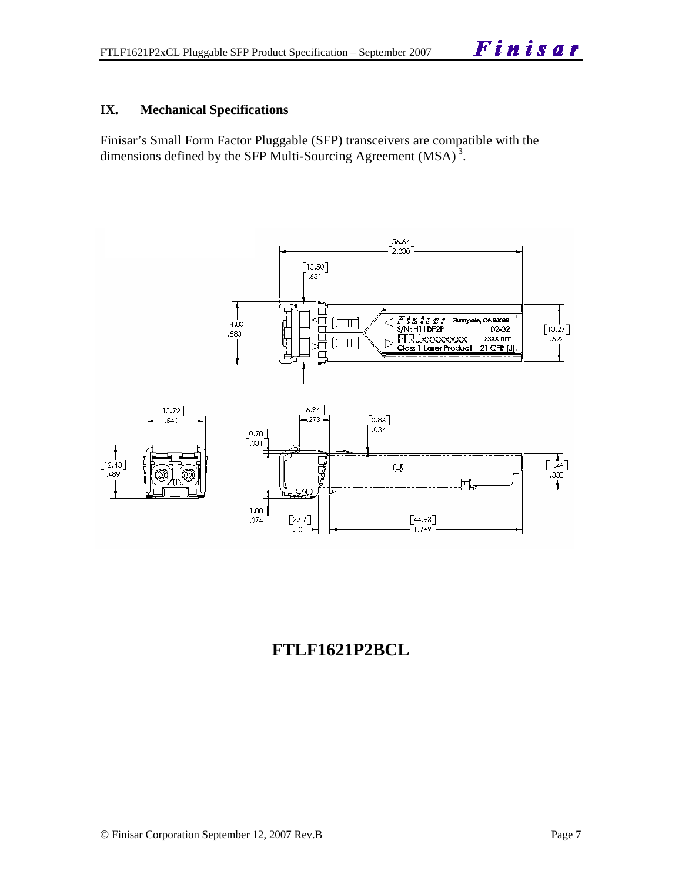#### **IX. Mechanical Specifications**

Finisar's Small Form Factor Pluggable (SFP) transceivers are compatible with the dimensions defined by the SFP Multi-Sourcing Agreement (MSA)<sup>3</sup>.



# **FTLF1621P2BCL**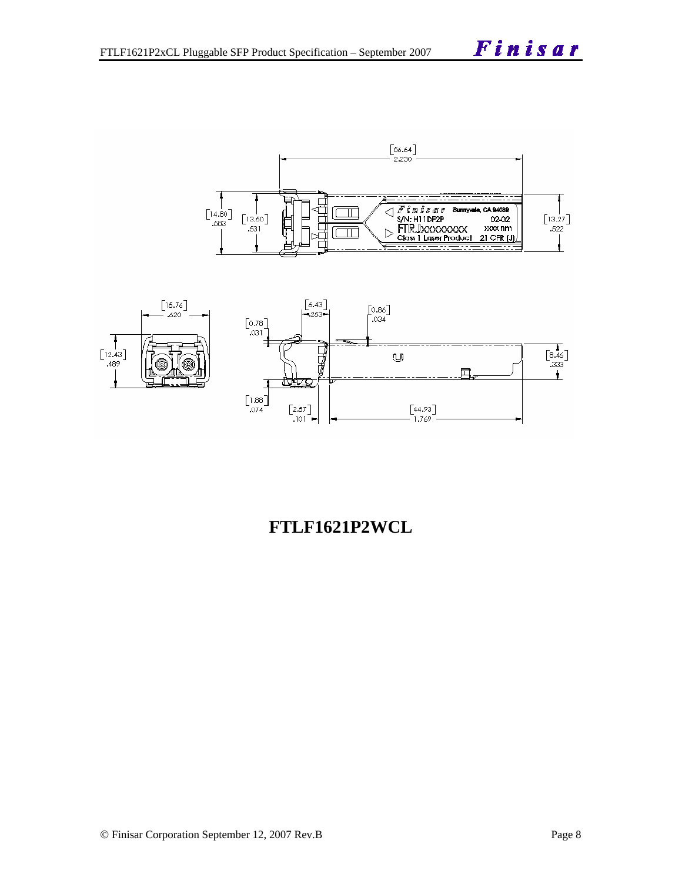



## **FTLF1621P2WCL**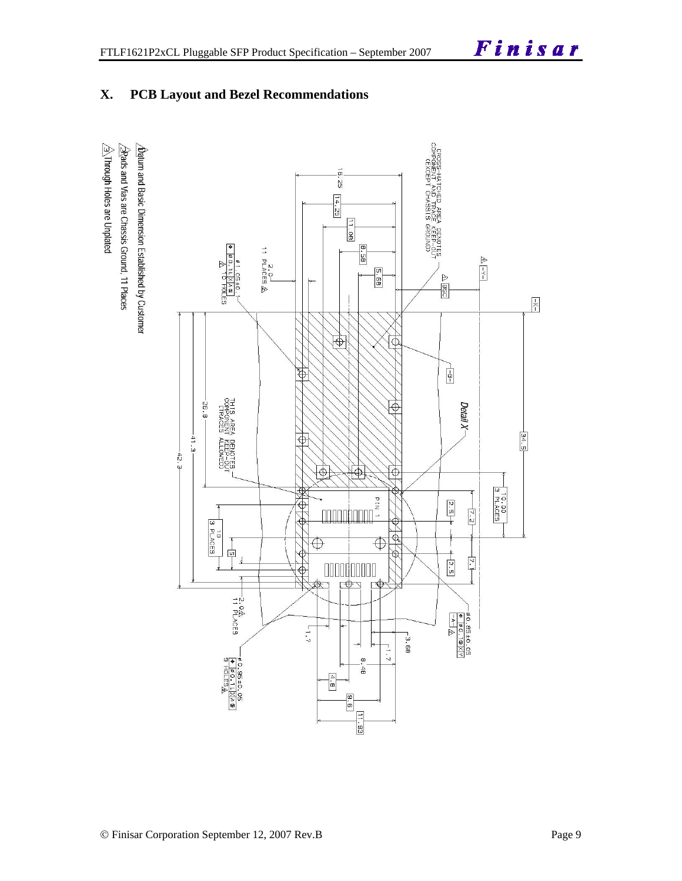#### **X. PCB Layout and Bezel Recommendations**

 $\hat{\triangle}$ Through Holes are Unplated  $\sqrt{2}$ Rads and Vias are Chassis Ground, 11 Places  $\Delta$ atum and Basic Dimension Established by Customer

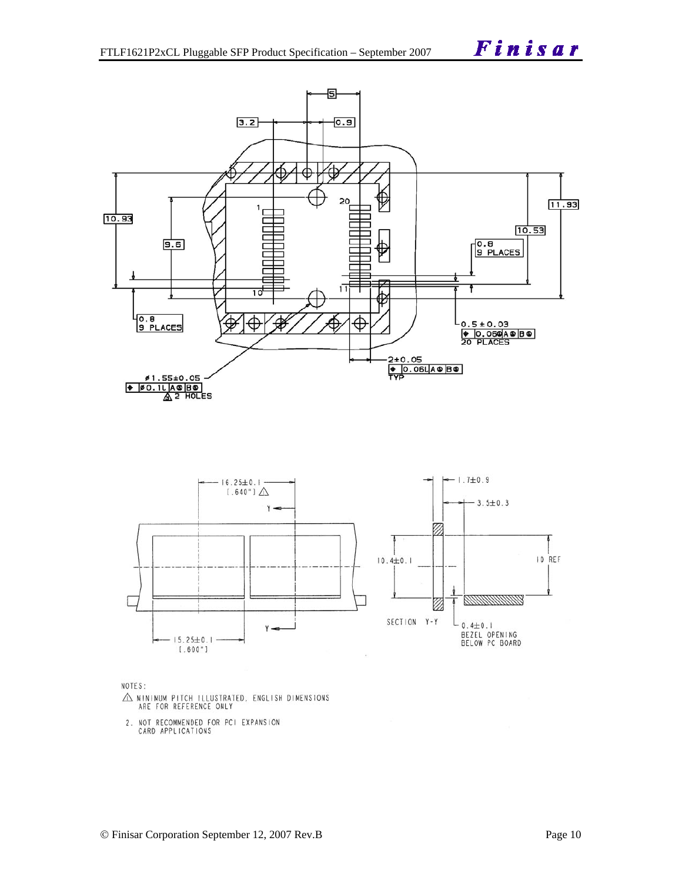



NOTES:

- $\triangle$  MINIMUM PITCH ILLUSTRATED, ENGLISH DIMENSIONS ARE FOR REFERENCE ONLY
- 2. NOT RECOMMENDED FOR PCI EXPANSION<br>CARD APPLICATIONS